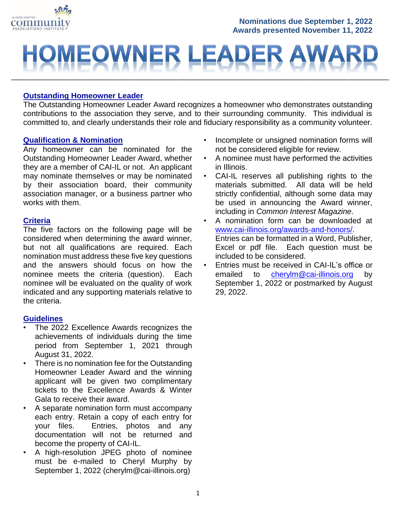

#### **Nominations due September 1, 2022 Awards presented November 11, 2022**

### EOWNER  $\blacksquare$

#### **Outstanding Homeowner Leader**

The Outstanding Homeowner Leader Award recognizes a homeowner who demonstrates outstanding contributions to the association they serve, and to their surrounding community. This individual is committed to, and clearly understands their role and fiduciary responsibility as a community volunteer.

#### **Qualification & Nomination**

Any homeowner can be nominated for the Outstanding Homeowner Leader Award, whether they are a member of CAI-IL or not. An applicant may nominate themselves or may be nominated by their association board, their community association manager, or a business partner who works with them.

#### **Criteria**

The five factors on the following page will be considered when determining the award winner, but not all qualifications are required. Each nomination must address these five key questions and the answers should focus on how the nominee meets the criteria (question). Each nominee will be evaluated on the quality of work indicated and any supporting materials relative to the criteria.

#### **Guidelines**

- The 2022 Excellence Awards recognizes the achievements of individuals during the time period from September 1, 2021 through August 31, 2022.
- There is no nomination fee for the Outstanding Homeowner Leader Award and the winning applicant will be given two complimentary tickets to the Excellence Awards & Winter Gala to receive their award.
- A separate nomination form must accompany each entry. Retain a copy of each entry for your files. Entries, photos and any documentation will not be returned and become the property of CAI-IL.
- A high-resolution JPEG photo of nominee must be e-mailed to Cheryl Murphy by September 1, 2022 (cherylm@cai-illinois.org)
- Incomplete or unsigned nomination forms will not be considered eligible for review.
- A nominee must have performed the activities in Illinois.
- CAI-IL reserves all publishing rights to the materials submitted. All data will be held strictly confidential, although some data may be used in announcing the Award winner, including in *Common Interest Magazine*.
- A nomination form can be downloaded at [www.cai-illinois.org/](http://www.cai-illinois.org/)awards-and-honors/. Entries can be formatted in a Word, Publisher, Excel or pdf file. Each question must be included to be considered.
- Entries must be received in CAI-IL's office or emailed to [cherylm@cai-illinois.org](mailto:cherylm@cai-illinois.org) by September 1, 2022 or postmarked by August 29, 2022.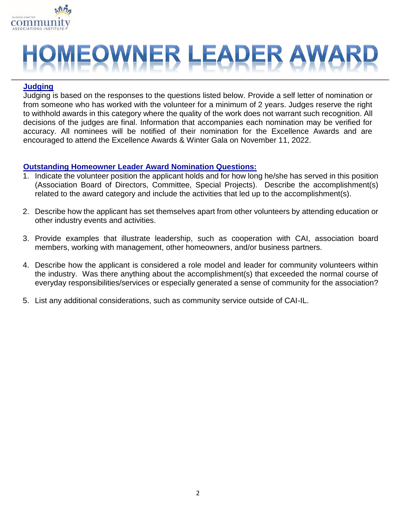

# MEOWNER LEADER AWA

#### **Judging**

Judging is based on the responses to the questions listed below. Provide a self letter of nomination or from someone who has worked with the volunteer for a minimum of 2 years. Judges reserve the right to withhold awards in this category where the quality of the work does not warrant such recognition. All decisions of the judges are final. Information that accompanies each nomination may be verified for accuracy. All nominees will be notified of their nomination for the Excellence Awards and are encouraged to attend the Excellence Awards & Winter Gala on November 11, 2022.

#### **Outstanding Homeowner Leader Award Nomination Questions:**

- 1. Indicate the volunteer position the applicant holds and for how long he/she has served in this position (Association Board of Directors, Committee, Special Projects). Describe the accomplishment(s) related to the award category and include the activities that led up to the accomplishment(s).
- 2. Describe how the applicant has set themselves apart from other volunteers by attending education or other industry events and activities.
- 3. Provide examples that illustrate leadership, such as cooperation with CAI, association board members, working with management, other homeowners, and/or business partners.
- 4. Describe how the applicant is considered a role model and leader for community volunteers within the industry. Was there anything about the accomplishment(s) that exceeded the normal course of everyday responsibilities/services or especially generated a sense of community for the association?
- 5. List any additional considerations, such as community service outside of CAI-IL.